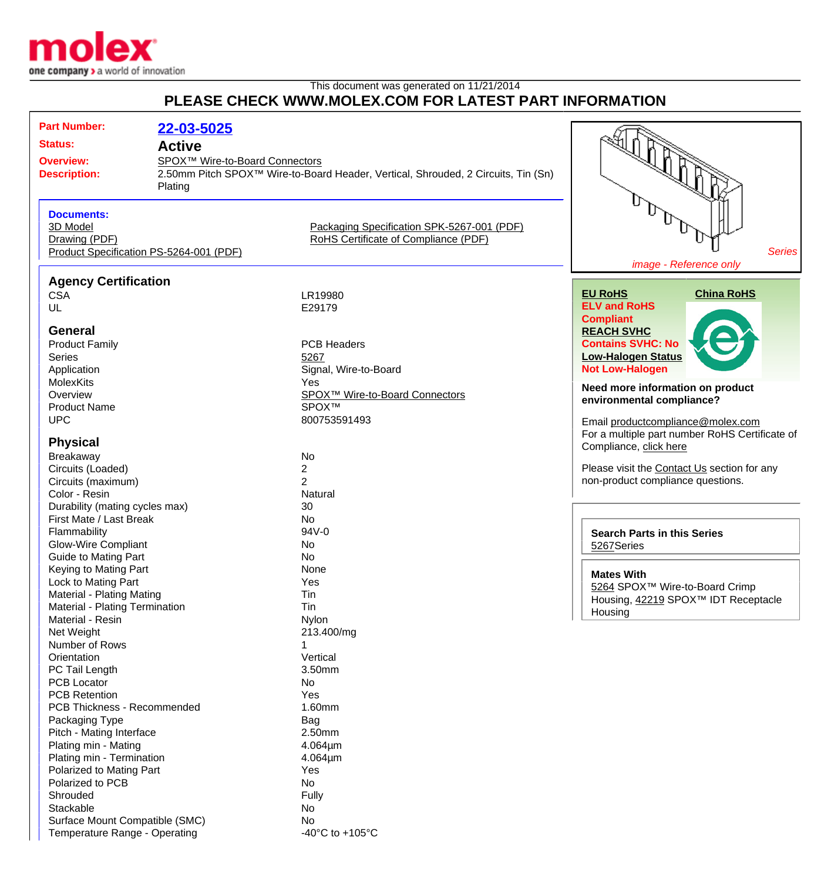

## This document was generated on 11/21/2014 **PLEASE CHECK WWW.MOLEX.COM FOR LATEST PART INFORMATION**

| <b>Part Number:</b><br>22-03-5025<br><b>Status:</b><br><b>Active</b><br><b>Overview:</b><br><b>Description:</b><br>Plating                        | SPOX <sup>™</sup> Wire-to-Board Connectors<br>2.50mm Pitch SPOX <sup>™</sup> Wire-to-Board Header, Vertical, Shrouded, 2 Circuits, Tin (Sn) |                                                                                                                                                              |
|---------------------------------------------------------------------------------------------------------------------------------------------------|---------------------------------------------------------------------------------------------------------------------------------------------|--------------------------------------------------------------------------------------------------------------------------------------------------------------|
| <b>Documents:</b><br>3D Model<br>Drawing (PDF)<br>Product Specification PS-5264-001 (PDF)                                                         | Packaging Specification SPK-5267-001 (PDF)<br>RoHS Certificate of Compliance (PDF)                                                          | <b>Series</b><br>image - Reference only                                                                                                                      |
| <b>Agency Certification</b><br><b>CSA</b><br>UL<br><b>General</b>                                                                                 | LR19980<br>E29179                                                                                                                           | <b>EU RoHS</b><br><b>China RoHS</b><br><b>ELV and RoHS</b><br><b>Compliant</b><br><b>REACH SVHC</b>                                                          |
| <b>Product Family</b><br>Series<br>Application<br><b>MolexKits</b><br>Overview                                                                    | <b>PCB Headers</b><br>5267<br>Signal, Wire-to-Board<br>Yes<br>SPOX <sup>™</sup> Wire-to-Board Connectors                                    | <b>Contains SVHC: No</b><br><b>Low-Halogen Status</b><br><b>Not Low-Halogen</b><br>Need more information on product<br>environmental compliance?             |
| <b>Product Name</b><br><b>UPC</b><br><b>Physical</b><br>Breakaway<br>Circuits (Loaded)                                                            | SPOX™<br>800753591493<br>No<br>$\overline{2}$                                                                                               | Email productcompliance@molex.com<br>For a multiple part number RoHS Certificate of<br>Compliance, click here<br>Please visit the Contact Us section for any |
| Circuits (maximum)<br>Color - Resin<br>Durability (mating cycles max)<br>First Mate / Last Break<br>Flammability<br><b>Glow-Wire Compliant</b>    | $\overline{2}$<br>Natural<br>30<br>No<br>94V-0<br>No                                                                                        | non-product compliance questions.<br><b>Search Parts in this Series</b><br>5267Series                                                                        |
| <b>Guide to Mating Part</b><br>Keying to Mating Part<br>Lock to Mating Part<br><b>Material - Plating Mating</b><br>Material - Plating Termination | No<br>None<br>Yes<br>Tin<br>Tin                                                                                                             | <b>Mates With</b><br>5264 SPOX™ Wire-to-Board Crimp<br>Housing, 42219 SPOX™ IDT Receptacle<br>Housing                                                        |
| Material - Resin<br>Net Weight<br>Number of Rows<br>Orientation<br>PC Tail Length<br><b>PCB Locator</b>                                           | Nylon<br>213.400/mg<br>Vertical<br>3.50mm<br>No                                                                                             |                                                                                                                                                              |
| <b>PCB Retention</b><br>PCB Thickness - Recommended<br>Packaging Type<br>Pitch - Mating Interface<br>Plating min - Mating                         | Yes<br>1.60mm<br><b>Bag</b><br>2.50mm<br>$4.064 \mu m$                                                                                      |                                                                                                                                                              |
| Plating min - Termination<br>Polarized to Mating Part<br>Polarized to PCB<br>Shrouded<br>Stackable                                                | $4.064 \mu m$<br>Yes<br>No<br>Fully<br>No                                                                                                   |                                                                                                                                                              |
| Surface Mount Compatible (SMC)<br>Temperature Range - Operating                                                                                   | No.<br>-40 $^{\circ}$ C to +105 $^{\circ}$ C                                                                                                |                                                                                                                                                              |